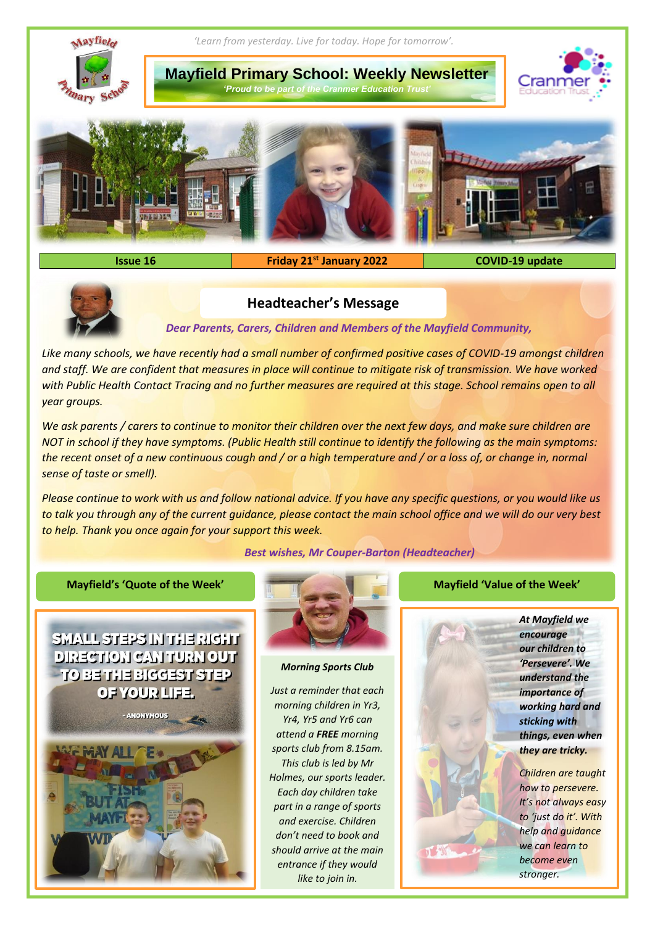



# **Headteacher's Message**

*Dear Parents, Carers, Children and Members of the Mayfield Community,*

Like many schools, we have recently had a small number of confirmed positive cases of COVID-19 amongst children *and staff. We are confident that measures in place will continue to mitigate risk of transmission. We have worked with Public Health Contact Tracing and no further measures are required at this stage. School remains open to all year groups.*

*We ask parents / carers to continue to monitor their children over the next few days, and make sure children are NOT in school if they have symptoms. (Public Health still continue to identify the following as the main symptoms: the recent onset of a new continuous cough and / or a high temperature and / or a loss of, or change in, normal sense of taste or smell).* 

*Please continue to work with us and follow national advice. If you have any specific questions, or you would like us to talk you through any of the current guidance, please contact the main school office and we will do our very best to help. Thank you once again for your support this week.*

*Best wishes, Mr Couper-Barton (Headteacher)*

### **Mayfield's 'Quote of the Week' Mayfield 'Value of the Week'**





#### *Morning Sports Club*

*Just a reminder that each morning children in Yr3, Yr4, Yr5 and Yr6 can attend a FREE morning sports club from 8.15am. This club is led by Mr Holmes, our sports leader. Each day children take part in a range of sports and exercise. Children don't need to book and should arrive at the main entrance if they would like to join in.*

*At Mayfield we encourage our children to 'Persevere'. We understand the importance of working hard and sticking with things, even when they are tricky.*

*Children are taught how to persevere. It's not always easy to 'just do it'. With help and guidance we can learn to become even stronger.*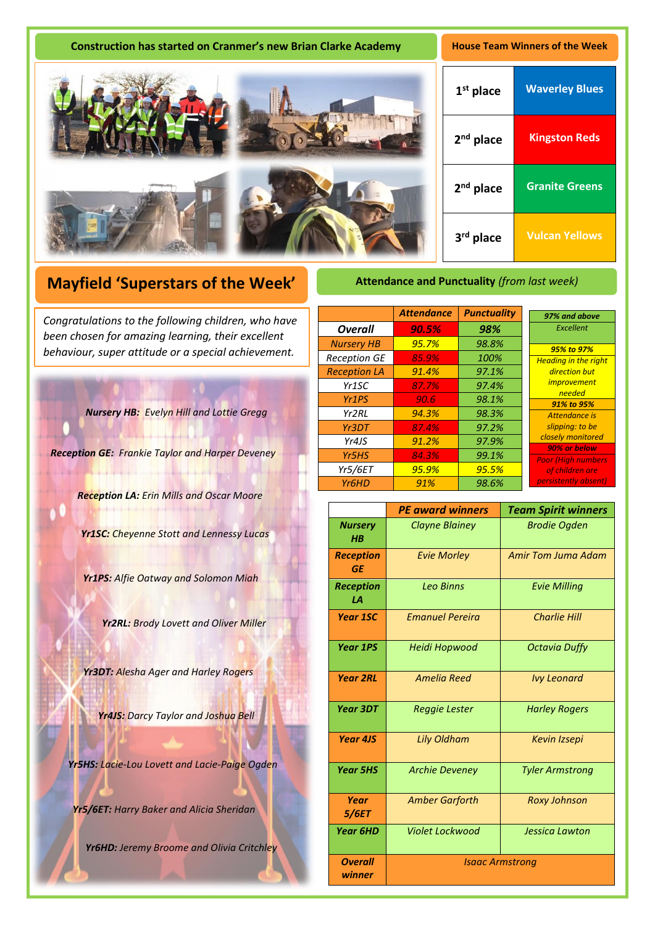| <b>Construction has started on Cranmer's new Brian Clarke Academy</b> | <b>House Team Winners of the Week</b> |                       |
|-----------------------------------------------------------------------|---------------------------------------|-----------------------|
|                                                                       | $1st$ place                           | <b>Waverley Blues</b> |
|                                                                       | $2nd$ place                           | <b>Kingston Reds</b>  |
|                                                                       | $2nd$ place                           | <b>Granite Greens</b> |
|                                                                       | 3rd place                             | <b>Vulcan Yellows</b> |

# **Mayfield 'Superstars of the Week'**

A *been chosen for amazing learning, their excellent Congratulations to the following children, who have behaviour, super attitude or a special achievement.*

*Nursery HB: Evelyn Hill and Lottie Gregg* 

*Reception GE: Frankie Taylor and Harper Deveney*

*Reception LA: Erin Mills and Oscar Moore*

*Yr1SC: Cheyenne Stott and Lennessy Lucas*

*Yr1PS: Alfie Oatway and Solomon Miah*

*Yr2RL: Brody Lovett and Oliver Miller*

*Yr3DT: Alesha Ager and Harley Rogers*

*Yr4JS: Darcy Taylor and Joshua Bell*

*Yr5HS: Lacie-Lou Lovett and Lacie-Paige Ogden* 

*Yr5/6ET: Harry Baker and Alicia Sheridan*

*Yr6HD: Jeremy Broome and Olivia Critchley*

## **Attendance and Punctuality** *(from last week)*

|                     | <b>Attendance</b> | <b>Punctuality</b> | 97% and above                     |
|---------------------|-------------------|--------------------|-----------------------------------|
| <b>Overall</b>      | 90.5%             | 98%                | Excellent                         |
| <b>Nursery HB</b>   | 95.7%             | 98.8%              | 95% to 97%                        |
| <b>Reception GE</b> | 85.9%             | 100%               | <b>Heading in the right</b>       |
| <b>Reception LA</b> | 91.4%             | 97.1%              | direction but                     |
| Yr <sub>1</sub> SC  | 87.7%             | 97.4%              | <i>improvement</i><br>needed      |
| Yr <sub>1</sub> PS  | 90.6              | 98.1%              | 91% to 95%                        |
| Yr2RL               | 94.3%             | 98.3%              | Attendance is                     |
| Yr3DT               | 87.4%             | 97.2%              | slipping: to be                   |
| Yr4JS               | 91.2%             | 97.9%              | closely monitored<br>90% or below |
| Yr <sub>5</sub> HS  | 84.3%             | 99.1%              | <b>Poor (High numbers</b>         |
| <b>Yr5/6ET</b>      | 95.9%             | 95.5%              | of children are                   |
| Yr <sub>6</sub> HD  | 91%               | 98.6%              | persistently absent)              |

|                               | <b>PE award winners</b> | <b>Team Spirit winners</b> |  |
|-------------------------------|-------------------------|----------------------------|--|
| <b>Nursery</b><br>$H$ $B$     | <b>Clayne Blainey</b>   | <b>Brodie Ogden</b>        |  |
| <b>Reception</b><br><b>GE</b> | <b>Evie Morley</b>      | Amir Tom Juma Adam         |  |
| <b>Reception</b><br>LA        | <b>Leo Binns</b>        | <b>Evie Milling</b>        |  |
| <b>Year 1SC</b>               | <b>Fmanuel Pereira</b>  | <b>Charlie Hill</b>        |  |
| <b>Year 1PS</b>               | Heidi Hopwood           | <b>Octavia Duffy</b>       |  |
| <b>Year 2RL</b>               | <b>Amelia Reed</b>      | <b>Ivy Leonard</b>         |  |
| <b>Year 3DT</b>               | Reggie Lester           | <b>Harley Rogers</b>       |  |
| Year 4JS                      | Lily Oldham             | <b>Kevin Izsepi</b>        |  |
| <b>Year 5HS</b>               | <b>Archie Deveney</b>   | <b>Tyler Armstrong</b>     |  |
| Year<br>5/6ET                 | <b>Amber Garforth</b>   | <b>Roxy Johnson</b>        |  |
| <b>Year 6HD</b>               | Violet Lockwood         | <b>Jessica Lawton</b>      |  |
| <b>Overall</b><br>winner      | <b>Isaac Armstrong</b>  |                            |  |